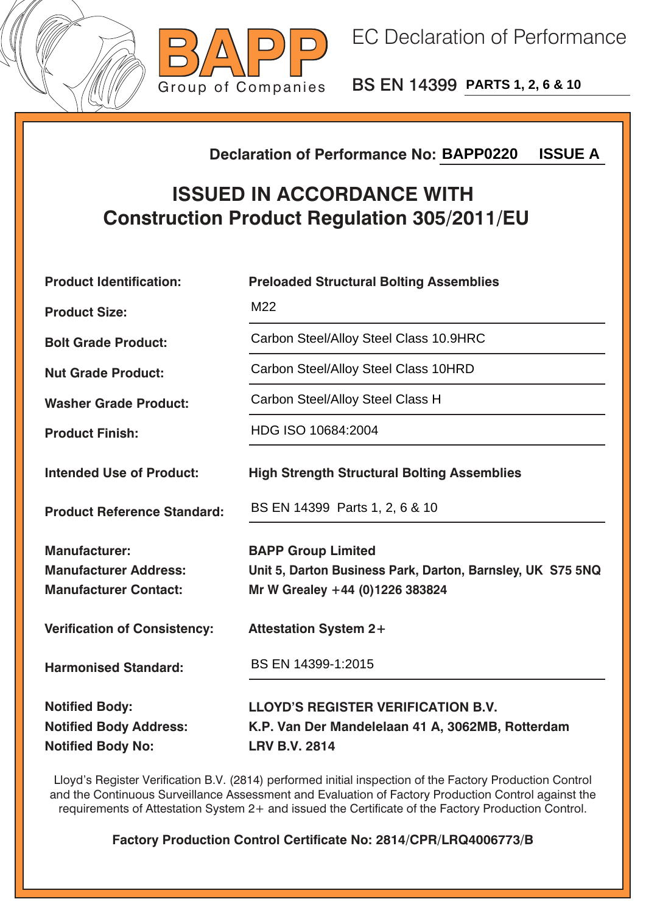



BS EN 14399 **PARTS 1, 2, 6 & 10**

## **Declaration of Performance No:**

## **ISSUED IN ACCORDANCE WITH Construction Product Regulation 305/2011/EU**

| <b>ISSUE A</b><br><b>Declaration of Performance No: BAPP0220</b>                       |                                                                                                                            |  |  |  |
|----------------------------------------------------------------------------------------|----------------------------------------------------------------------------------------------------------------------------|--|--|--|
| <b>ISSUED IN ACCORDANCE WITH</b><br><b>Construction Product Regulation 305/2011/EU</b> |                                                                                                                            |  |  |  |
| <b>Product Identification:</b>                                                         | <b>Preloaded Structural Bolting Assemblies</b>                                                                             |  |  |  |
| <b>Product Size:</b>                                                                   | M22                                                                                                                        |  |  |  |
| <b>Bolt Grade Product:</b>                                                             | Carbon Steel/Alloy Steel Class 10.9HRC                                                                                     |  |  |  |
| <b>Nut Grade Product:</b>                                                              | Carbon Steel/Alloy Steel Class 10HRD                                                                                       |  |  |  |
| <b>Washer Grade Product:</b>                                                           | Carbon Steel/Alloy Steel Class H                                                                                           |  |  |  |
| <b>Product Finish:</b>                                                                 | HDG ISO 10684:2004                                                                                                         |  |  |  |
| <b>Intended Use of Product:</b>                                                        | <b>High Strength Structural Bolting Assemblies</b>                                                                         |  |  |  |
| <b>Product Reference Standard:</b>                                                     | BS EN 14399 Parts 1, 2, 6 & 10                                                                                             |  |  |  |
| <b>Manufacturer:</b><br><b>Manufacturer Address:</b><br><b>Manufacturer Contact:</b>   | <b>BAPP Group Limited</b><br>Unit 5, Darton Business Park, Darton, Barnsley, UK S75 5NQ<br>Mr W Grealey +44 (0)1226 383824 |  |  |  |
| <b>Verification of Consistency:</b>                                                    | <b>Attestation System 2+</b>                                                                                               |  |  |  |
| <b>Harmonised Standard:</b>                                                            | BS EN 14399-1:2015                                                                                                         |  |  |  |
| <b>Notified Body:</b><br><b>Notified Body Address:</b><br><b>Notified Body No:</b>     | <b>LLOYD'S REGISTER VERIFICATION B.V.</b><br>K.P. Van Der Mandelelaan 41 A, 3062MB, Rotterdam<br><b>LRV B.V. 2814</b>      |  |  |  |

Lloyd's Register Verification B.V. (2814) performed initial inspection of the Factory Production Control and the Continuous Surveillance Assessment and Evaluation of Factory Production Control against the requirements of Attestation System 2+ and issued the Certificate of the Factory Production Control.

**Factory Production Control Certificate No: 2814/CPR/LRQ4006773/B**